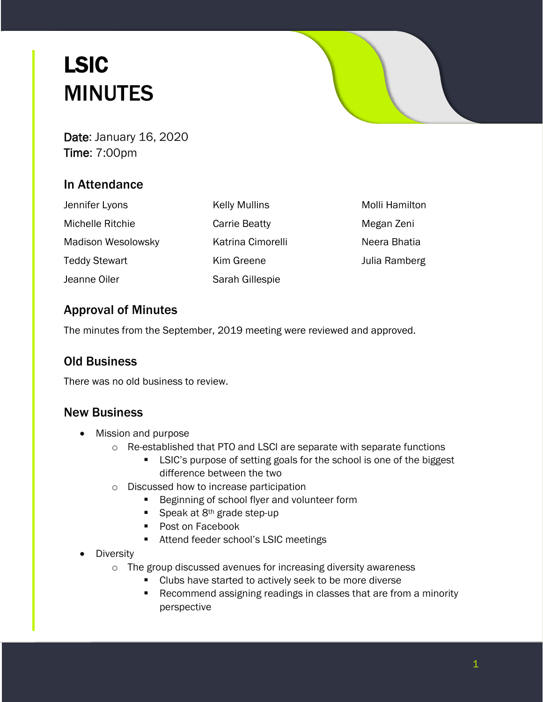# LSIC MINUTES

Date: January 16, 2020 Time: 7:00pm

# In Attendance

| Jennifer Lyons            | <b>Kelly Mullins</b> | Molli Hamilton |
|---------------------------|----------------------|----------------|
| Michelle Ritchie          | <b>Carrie Beatty</b> | Megan Zeni     |
| <b>Madison Wesolowsky</b> | Katrina Cimorelli    | Neera Bhatia   |
| <b>Teddy Stewart</b>      | Kim Greene           | Julia Ramberg  |
| Jeanne Oiler              | Sarah Gillespie      |                |

# Approval of Minutes

The minutes from the September, 2019 meeting were reviewed and approved.

## Old Business

There was no old business to review.

## New Business

- Mission and purpose
	- o Re-established that PTO and LSCI are separate with separate functions
		- **EXEC's purpose of setting goals for the school is one of the biggest** difference between the two
	- o Discussed how to increase participation
		- **Beginning of school flyer and volunteer form**
		- Speak at  $8<sup>th</sup>$  grade step-up
		- **Post on Facebook**
		- **Attend feeder school's LSIC meetings**
- **Diversity** 
	- o The group discussed avenues for increasing diversity awareness
		- **EXECUTE:** Clubs have started to actively seek to be more diverse
		- **Recommend assigning readings in classes that are from a minority** perspective